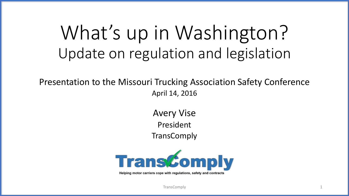# What's up in Washington? Update on regulation and legislation

Presentation to the Missouri Trucking Association Safety Conference April 14, 2016

> Avery Vise President **TransComply**



**TransComply**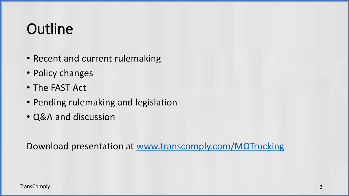# **Outline**

- Recent and current rulemaking
- Policy changes
- The FAST Act
- Pending rulemaking and legislation
- Q&A and discussion

Download presentation at [www.transcomply.com/MOTrucking](http://www.transcomply.com/MOTrucking)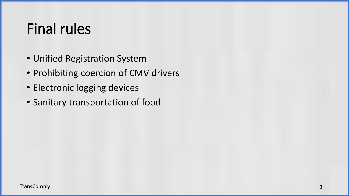### Final rules

- Unified Registration System
- Prohibiting coercion of CMV drivers
- Electronic logging devices
- Sanitary transportation of food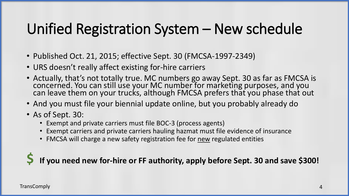# Unified Registration System – New schedule

- Published Oct. 21, 2015; effective Sept. 30 (FMCSA-1997-2349)
- URS doesn't really affect existing for-hire carriers
- Actually, that's not totally true. MC numbers go away Sept. 30 as far as FMCSA is concerned. You can still use your MC number for marketing purposes, and you can leave them on your trucks, although FMCSA prefers that you phase that out
- And you must file your biennial update online, but you probably already do
- As of Sept. 30:
	- Exempt and private carriers must file BOC-3 (process agents)
	- Exempt carriers and private carriers hauling hazmat must file evidence of insurance
	- FMCSA will charge a new safety registration fee for new regulated entities

**\$ If you need new for-hire or FF authority, apply before Sept. 30 and save \$300!**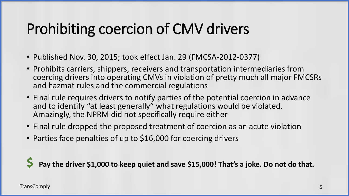# Prohibiting coercion of CMV drivers

- Published Nov. 30, 2015; took effect Jan. 29 (FMCSA-2012-0377)
- Prohibits carriers, shippers, receivers and transportation intermediaries from coercing drivers into operating CMVs in violation of pretty much all major FMCSRs and hazmat rules and the commercial regulations
- Final rule requires drivers to notify parties of the potential coercion in advance and to identify "at least generally" what regulations would be violated. Amazingly, the NPRM did not specifically require either
- Final rule dropped the proposed treatment of coercion as an acute violation
- Parties face penalties of up to \$16,000 for coercing drivers

**\$ Pay the driver \$1,000 to keep quiet and save \$15,000! That's a joke. Do not do that.**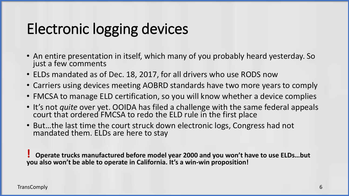# Electronic logging devices

- An entire presentation in itself, which many of you probably heard yesterday. So just a few comments
- ELDs mandated as of Dec. 18, 2017, for all drivers who use RODS now
- Carriers using devices meeting AOBRD standards have two more years to comply
- FMCSA to manage ELD certification, so you will know whether a device complies
- It's not *quite* over yet. OOIDA has filed a challenge with the same federal appeals court that ordered FMCSA to redo the ELD rule in the first place
- But…the last time the court struck down electronic logs, Congress had not mandated them. ELDs are here to stay

**! Operate trucks manufactured before model year 2000 and you won't have to use ELDs…but you also won't be able to operate in California. It's a win-win proposition!**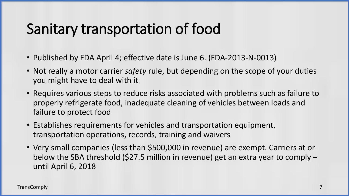# Sanitary transportation of food

- Published by FDA April 4; effective date is June 6. (FDA-2013-N-0013)
- Not really a motor carrier *safety* rule, but depending on the scope of your duties you might have to deal with it
- Requires various steps to reduce risks associated with problems such as failure to properly refrigerate food, inadequate cleaning of vehicles between loads and failure to protect food
- Establishes requirements for vehicles and transportation equipment, transportation operations, records, training and waivers
- Very small companies (less than \$500,000 in revenue) are exempt. Carriers at or below the SBA threshold (\$27.5 million in revenue) get an extra year to comply – until April 6, 2018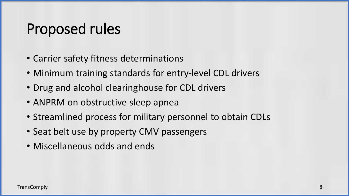#### Proposed rules

- Carrier safety fitness determinations
- Minimum training standards for entry-level CDL drivers
- Drug and alcohol clearinghouse for CDL drivers
- ANPRM on obstructive sleep apnea
- Streamlined process for military personnel to obtain CDLs
- Seat belt use by property CMV passengers
- Miscellaneous odds and ends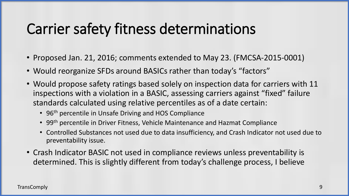### Carrier safety fitness determinations

- Proposed Jan. 21, 2016; comments extended to May 23. (FMCSA-2015-0001)
- Would reorganize SFDs around BASICs rather than today's "factors"
- Would propose safety ratings based solely on inspection data for carriers with 11 inspections with a violation in a BASIC, assessing carriers against "fixed" failure standards calculated using relative percentiles as of a date certain:
	- 96<sup>th</sup> percentile in Unsafe Driving and HOS Compliance
	- 99<sup>th</sup> percentile in Driver Fitness, Vehicle Maintenance and Hazmat Compliance
	- Controlled Substances not used due to data insufficiency, and Crash Indicator not used due to preventability issue.
- Crash Indicator BASIC not used in compliance reviews unless preventability is determined. This is slightly different from today's challenge process, I believe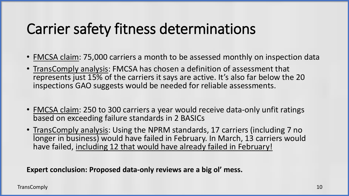# Carrier safety fitness determinations

- FMCSA claim: 75,000 carriers a month to be assessed monthly on inspection data
- TransComply analysis: FMCSA has chosen a definition of assessment that represents just 15% of the carriers it says are active. It's also far below the 20 inspections GAO suggests would be needed for reliable assessments.
- FMCSA claim: 250 to 300 carriers a year would receive data-only unfit ratings based on exceeding failure standards in 2 BASICs
- TransComply analysis: Using the NPRM standards, 17 carriers (including 7 no longer in business) would have failed in February. In March, 13 carriers would have failed, including 12 that would have already failed in February!

**Expert conclusion: Proposed data-only reviews are a big ol' mess.**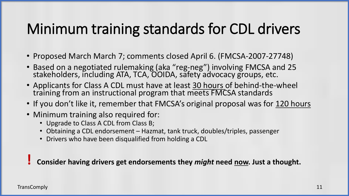# Minimum training standards for CDL drivers

- Proposed March March 7; comments closed April 6. (FMCSA-2007-27748)
- Based on a negotiated rulemaking (aka "reg-neg") involving FMCSA and 25 stakeholders, including ATA, TCA, OOIDA, safety advocacy groups, etc.
- Applicants for Class A CDL must have at least 30 hours of behind-the-wheel training from an instructional program that meets FMCSA standards
- If you don't like it, remember that FMCSA's original proposal was for 120 hours
- Minimum training also required for:
	- Upgrade to Class A CDL from Class B;
	- Obtaining a CDL endorsement Hazmat, tank truck, doubles/triples, passenger
	- Drivers who have been disqualified from holding a CDL

**! Consider having drivers get endorsements they** *might* **need now. Just a thought.**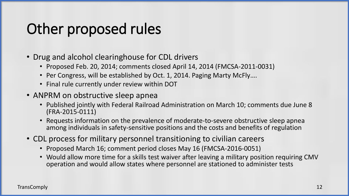# Other proposed rules

- Drug and alcohol clearinghouse for CDL drivers
	- Proposed Feb. 20, 2014; comments closed April 14, 2014 (FMCSA-2011-0031)
	- Per Congress, will be established by Oct. 1, 2014. Paging Marty McFly….
	- Final rule currently under review within DOT
- ANPRM on obstructive sleep apnea
	- Published jointly with Federal Railroad Administration on March 10; comments due June 8 (FRA-2015-0111)
	- Requests information on the prevalence of moderate-to-severe obstructive sleep apnea among individuals in safety-sensitive positions and the costs and benefits of regulation
- CDL process for military personnel transitioning to civilian careers
	- Proposed March 16; comment period closes May 16 (FMCSA-2016-0051)
	- Would allow more time for a skills test waiver after leaving a military position requiring CMV operation and would allow states where personnel are stationed to administer tests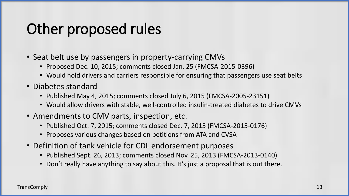# Other proposed rules

- Seat belt use by passengers in property-carrying CMVs
	- Proposed Dec. 10, 2015; comments closed Jan. 25 (FMCSA-2015-0396)
	- Would hold drivers and carriers responsible for ensuring that passengers use seat belts
- Diabetes standard
	- Published May 4, 2015; comments closed July 6, 2015 (FMCSA-2005-23151)
	- Would allow drivers with stable, well-controlled insulin-treated diabetes to drive CMVs
- Amendments to CMV parts, inspection, etc.
	- Published Oct. 7, 2015; comments closed Dec. 7, 2015 (FMCSA-2015-0176)
	- Proposes various changes based on petitions from ATA and CVSA
- Definition of tank vehicle for CDL endorsement purposes
	- Published Sept. 26, 2013; comments closed Nov. 25, 2013 (FMCSA-2013-0140)
	- Don't really have anything to say about this. It's just a proposal that is out there.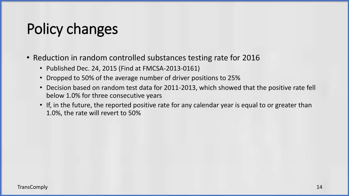- Reduction in random controlled substances testing rate for 2016
	- Published Dec. 24, 2015 (Find at FMCSA-2013-0161)
	- Dropped to 50% of the average number of driver positions to 25%
	- Decision based on random test data for 2011-2013, which showed that the positive rate fell below 1.0% for three consecutive years
	- If, in the future, the reported positive rate for any calendar year is equal to or greater than 1.0%, the rate will revert to 50%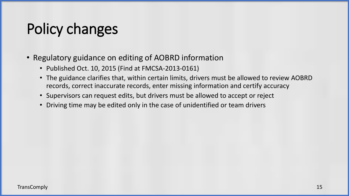- Regulatory guidance on editing of AOBRD information
	- Published Oct. 10, 2015 (Find at FMCSA-2013-0161)
	- The guidance clarifies that, within certain limits, drivers must be allowed to review AOBRD records, correct inaccurate records, enter missing information and certify accuracy
	- Supervisors can request edits, but drivers must be allowed to accept or reject
	- Driving time may be edited only in the case of unidentified or team drivers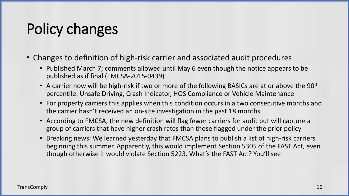- Changes to definition of high-risk carrier and associated audit procedures
	- Published March 7; comments allowed until May 6 even though the notice appears to be published as if final (FMCSA-2015-0439)
	- A carrier now will be high-risk if two or more of the following BASICs are at or above the 90<sup>th</sup> percentile: Unsafe Driving, Crash Indicator, HOS Compliance or Vehicle Maintenance
	- For property carriers this applies when this condition occurs in a two consecutive months and the carrier hasn't received an on-site investigation in the past 18 months
	- According to FMCSA, the new definition will flag fewer carriers for audit but will capture a group of carriers that have higher crash rates than those flagged under the prior policy
	- Breaking news: We learned yesterday that FMCSA plans to publish a list of high-risk carriers beginning this summer. Apparently, this would implement Section 5305 of the FAST Act, even though otherwise it would violate Section 5223. What's the FAST Act? You'll see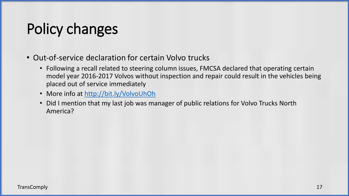- Out-of-service declaration for certain Volvo trucks
	- Following a recall related to steering column issues, FMCSA declared that operating certain model year 2016-2017 Volvos without inspection and repair could result in the vehicles being placed out of service immediately
	- More info at<http://bit.ly/VolvoUhOh>
	- Did I mention that my last job was manager of public relations for Volvo Trucks North America?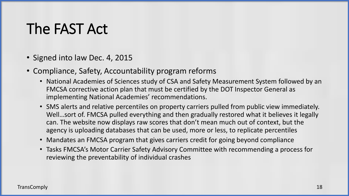### The FAST Act

- Signed into law Dec. 4, 2015
- Compliance, Safety, Accountability program reforms
	- National Academies of Sciences study of CSA and Safety Measurement System followed by an FMCSA corrective action plan that must be certified by the DOT Inspector General as implementing National Academies' recommendations.
	- SMS alerts and relative percentiles on property carriers pulled from public view immediately. Well…sort of. FMCSA pulled everything and then gradually restored what it believes it legally can. The website now displays raw scores that don't mean much out of context, but the agency is uploading databases that can be used, more or less, to replicate percentiles
	- Mandates an FMCSA program that gives carriers credit for going beyond compliance
	- Tasks FMCSA's Motor Carrier Safety Advisory Committee with recommending a process for reviewing the preventability of individual crashes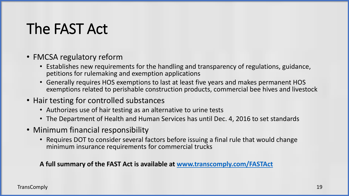# The FAST Act

- FMCSA regulatory reform
	- Establishes new requirements for the handling and transparency of regulations, guidance, petitions for rulemaking and exemption applications
	- Generally requires HOS exemptions to last at least five years and makes permanent HOS exemptions related to perishable construction products, commercial bee hives and livestock
- Hair testing for controlled substances
	- Authorizes use of hair testing as an alternative to urine tests
	- The Department of Health and Human Services has until Dec. 4, 2016 to set standards
- Minimum financial responsibility
	- Requires DOT to consider several factors before issuing a final rule that would change minimum insurance requirements for commercial trucks

#### **A full summary of the FAST Act is available at [www.transcomply.com/FASTAct](http://www.transcomply.com/fastact)**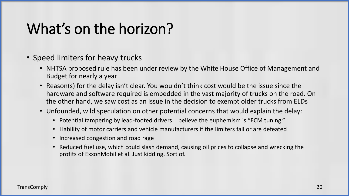# What's on the horizon?

- Speed limiters for heavy trucks
	- NHTSA proposed rule has been under review by the White House Office of Management and Budget for nearly a year
	- Reason(s) for the delay isn't clear. You wouldn't think cost would be the issue since the hardware and software required is embedded in the vast majority of trucks on the road. On the other hand, we saw cost as an issue in the decision to exempt older trucks from ELDs
	- Unfounded, wild speculation on other potential concerns that would explain the delay:
		- Potential tampering by lead-footed drivers. I believe the euphemism is "ECM tuning."
		- Liability of motor carriers and vehicle manufacturers if the limiters fail or are defeated
		- Increased congestion and road rage
		- Reduced fuel use, which could slash demand, causing oil prices to collapse and wrecking the profits of ExxonMobil et al. Just kidding. Sort of.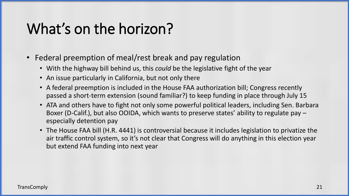# What's on the horizon?

- Federal preemption of meal/rest break and pay regulation
	- With the highway bill behind us, this *could* be the legislative fight of the year
	- An issue particularly in California, but not only there
	- A federal preemption is included in the House FAA authorization bill; Congress recently passed a short-term extension (sound familiar?) to keep funding in place through July 15
	- ATA and others have to fight not only some powerful political leaders, including Sen. Barbara Boxer (D-Calif.), but also OOIDA, which wants to preserve states' ability to regulate pay – especially detention pay
	- The House FAA bill (H.R. 4441) is controversial because it includes legislation to privatize the air traffic control system, so it's not clear that Congress will do anything in this election year but extend FAA funding into next year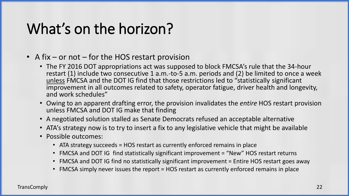# What's on the horizon?

- A fix or not for the HOS restart provision
	- The FY 2016 DOT appropriations act was supposed to block FMCSA's rule that the 34-hour restart (1) include two consecutive 1 a.m.-to-5 a.m. periods and (2) be limited to once a week unless FMCSA and the DOT IG find that those restrictions led to "statistically significant improvement in all outcomes related to safety, operator fatigue, driver health and longevity, and work schedules"
	- Owing to an apparent drafting error, the provision invalidates the *entire* HOS restart provision unless FMCSA and DOT IG make that finding
	- A negotiated solution stalled as Senate Democrats refused an acceptable alternative
	- ATA's strategy now is to try to insert a fix to any legislative vehicle that might be available
	- Possible outcomes:
		- ATA strategy succeeds = HOS restart as currently enforced remains in place
		- FMCSA and DOT IG find statistically significant improvement = "New" HOS restart returns
		- FMCSA and DOT IG find no statistically significant improvement = Entire HOS restart goes away
		- FMCSA simply never issues the report = HOS restart as currently enforced remains in place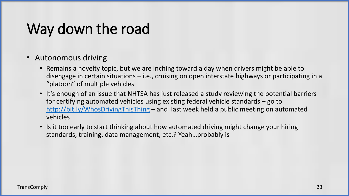### Way down the road

- Autonomous driving
	- Remains a novelty topic, but we are inching toward a day when drivers might be able to disengage in certain situations – i.e., cruising on open interstate highways or participating in a "platoon" of multiple vehicles
	- It's enough of an issue that NHTSA has just released a study reviewing the potential barriers for certifying automated vehicles using existing federal vehicle standards – go to <http://bit.ly/WhosDrivingThisThing> – and last week held a public meeting on automated vehicles
	- Is it too early to start thinking about how automated driving might change your hiring standards, training, data management, etc.? Yeah…probably is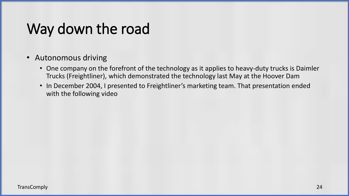### Way down the road

- Autonomous driving
	- One company on the forefront of the technology as it applies to heavy-duty trucks is Daimler Trucks (Freightliner), which demonstrated the technology last May at the Hoover Dam
	- In December 2004, I presented to Freightliner's marketing team. That presentation ended with the following video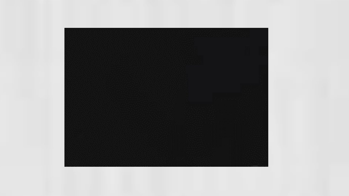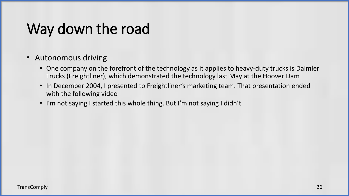### Way down the road

- Autonomous driving
	- One company on the forefront of the technology as it applies to heavy-duty trucks is Daimler Trucks (Freightliner), which demonstrated the technology last May at the Hoover Dam
	- In December 2004, I presented to Freightliner's marketing team. That presentation ended with the following video
	- I'm not saying I started this whole thing. But I'm not saying I didn't